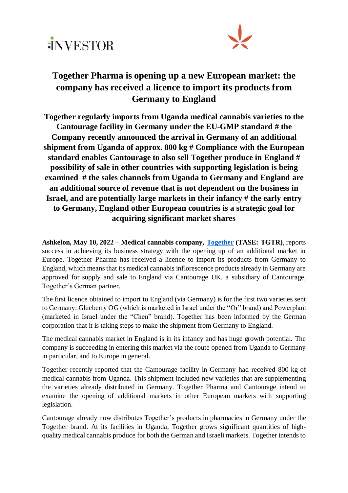



## **Together Pharma is opening up a new European market: the company has received a licence to import its products from Germany to England**

**Together regularly imports from Uganda medical cannabis varieties to the Cantourage facility in Germany under the EU-GMP standard # the Company recently announced the arrival in Germany of an additional shipment from Uganda of approx. 800 kg # Compliance with the European standard enables Cantourage to also sell Together produce in England # possibility of sale in other countries with supporting legislation is being examined # the sales channels from Uganda to Germany and England are an additional source of revenue that is not dependent on the business in Israel, and are potentially large markets in their infancy # the early entry to Germany, England other European countries is a strategic goal for acquiring significant market shares**

**Ashkelon, May 10, 2022 – Medical cannabis company, [Together](https://info.tase.co.il/Eng/General/Company/Pages/companyMainData.aspx?companyID=000462&) (TASE: TGTR)**, reports success in achieving its business strategy with the opening up of an additional market in Europe. Together Pharma has received a licence to import its products from Germany to England, which means that its medical cannabis inflorescence products already in Germany are approved for supply and sale to England via Cantourage UK, a subsidiary of Cantourage, Together's German partner.

The first licence obtained to import to England (via Germany) is for the first two varieties sent to Germany: Glueberry OG (which is marketed in Israel under the "Or" brand) and Powerplant (marketed in Israel under the "Chen" brand). Together has been informed by the German corporation that it is taking steps to make the shipment from Germany to England.

The medical cannabis market in England is in its infancy and has huge growth potential. The company is succeeding in entering this market via the route opened from Uganda to Germany in particular, and to Europe in general.

Together recently reported that the Cantourage facility in Germany had received 800 kg of medical cannabis from Uganda. This shipment included new varieties that are supplementing the varieties already distributed in Germany. Together Pharma and Cantourage intend to examine the opening of additional markets in other European markets with supporting legislation.

Cantourage already now distributes Together's products in pharmacies in Germany under the Together brand. At its facilities in Uganda, Together grows significant quantities of highquality medical cannabis produce for both the German and Israeli markets. Together intends to